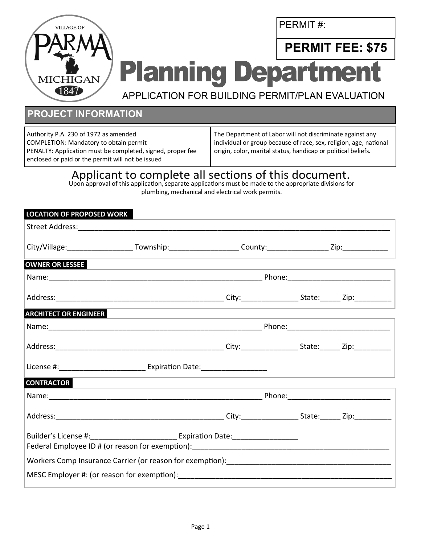PERMIT #:



**PERMIT FEE: \$75 Planning Departmen** 

APPLICATION FOR BUILDING PERMIT/PLAN EVALUATION

## **PROJECT INFORMATION**

Authority P.A. 230 of 1972 as amended COMPLETION: Mandatory to obtain permit PENALTY: Application must be completed, signed, proper fee enclosed or paid or the permit will not be issued

The Department of Labor will not discriminate against any individual or group because of race, sex, religion, age, national origin, color, marital status, handicap or political beliefs.

## Applicant to complete all sections of this document.

Upon approval of this application, separate applications must be made to the appropriate divisions for plumbing, mechanical and electrical work permits.

| <b>LOCATION OF PROPOSED WORK</b> |                                                                                                                                    |  |  |
|----------------------------------|------------------------------------------------------------------------------------------------------------------------------------|--|--|
|                                  |                                                                                                                                    |  |  |
|                                  | City/Village: _________________________Township: ______________________County: ____________________Zip: ____________               |  |  |
| <b>OWNER OR LESSEE</b>           |                                                                                                                                    |  |  |
|                                  |                                                                                                                                    |  |  |
|                                  |                                                                                                                                    |  |  |
| <b>ARCHITECT OR ENGINEER</b>     | <u> 1989 - Andrea Stadt Britain, amerikansk politik (</u>                                                                          |  |  |
|                                  |                                                                                                                                    |  |  |
|                                  |                                                                                                                                    |  |  |
|                                  | License #: _________________________________ Expiration Date: __________________                                                   |  |  |
| <b>CONTRACTOR</b>                | and the state of the state of the state of the state of the state of the state of the state of the state of the                    |  |  |
|                                  |                                                                                                                                    |  |  |
|                                  |                                                                                                                                    |  |  |
|                                  | Builder's License #: __________________________________ Expiration Date: __________________________                                |  |  |
|                                  | Workers Comp Insurance Carrier (or reason for exemption): [14] Morkers Computers Comp Insurance Carrier (or reason for exemption): |  |  |
|                                  |                                                                                                                                    |  |  |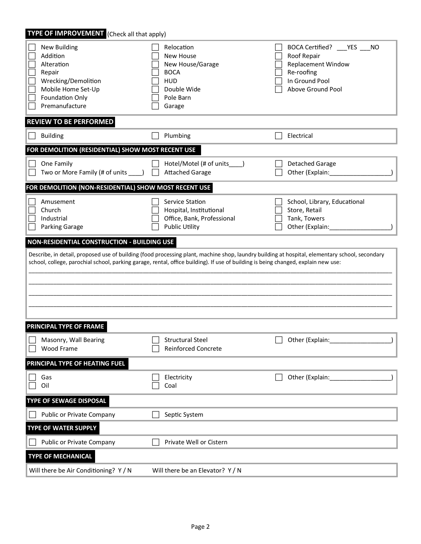| TYPE OF IMPROVEMENT (Check all that apply)                                                                                                     |                                                                                                                                    |                                                                                                                                            |  |  |  |
|------------------------------------------------------------------------------------------------------------------------------------------------|------------------------------------------------------------------------------------------------------------------------------------|--------------------------------------------------------------------------------------------------------------------------------------------|--|--|--|
| <b>New Building</b><br>Addition<br>Alteration<br>Repair<br>Wrecking/Demolition<br>Mobile Home Set-Up<br>Foundation Only<br>Premanufacture      | Relocation<br><b>New House</b><br>New House/Garage<br><b>BOCA</b><br><b>HUD</b><br>Double Wide<br>Pole Barn<br>Garage              | BOCA Certified? ____ YES ___<br><b>NO</b><br>Roof Repair<br><b>Replacement Window</b><br>Re-roofing<br>In Ground Pool<br>Above Ground Pool |  |  |  |
| <b>REVIEW TO BE PERFORMED</b>                                                                                                                  |                                                                                                                                    |                                                                                                                                            |  |  |  |
| <b>Building</b>                                                                                                                                | Plumbing                                                                                                                           | Electrical                                                                                                                                 |  |  |  |
| FOR DEMOLITION (RESIDENTIAL) SHOW MOST RECENT USE                                                                                              |                                                                                                                                    |                                                                                                                                            |  |  |  |
| One Family<br>Two or More Family (# of units _____)                                                                                            | Hotel/Motel (# of units<br><b>Attached Garage</b>                                                                                  | <b>Detached Garage</b><br>Other (Explain:                                                                                                  |  |  |  |
| FOR DEMOLITION (NON-RESIDENTIAL) SHOW MOST RECENT USE                                                                                          |                                                                                                                                    |                                                                                                                                            |  |  |  |
| Amusement<br>Church<br>Industrial<br><b>Parking Garage</b>                                                                                     | Service Station<br>Hospital, Institutional<br>Office, Bank, Professional<br><b>Public Utility</b>                                  | School, Library, Educational<br>Store, Retail<br>Tank, Towers<br>Other (Explain:                                                           |  |  |  |
| NON-RESIDENTIAL CONSTRUCTION - BUILDING USE                                                                                                    |                                                                                                                                    |                                                                                                                                            |  |  |  |
| Describe, in detail, proposed use of building (food processing plant, machine shop, laundry building at hospital, elementary school, secondary |                                                                                                                                    |                                                                                                                                            |  |  |  |
|                                                                                                                                                | school, college, parochial school, parking garage, rental, office building). If use of building is being changed, explain new use: |                                                                                                                                            |  |  |  |
| PRINCIPAL TYPE OF FRAME                                                                                                                        |                                                                                                                                    |                                                                                                                                            |  |  |  |
| Masonry, Wall Bearing<br>Wood Frame                                                                                                            | <b>Structural Steel</b><br><b>Reinforced Concrete</b>                                                                              | Other (Explain:                                                                                                                            |  |  |  |
| PRINCIPAL TYPE OF HEATING FUEL                                                                                                                 |                                                                                                                                    |                                                                                                                                            |  |  |  |
| Gas<br>Oil                                                                                                                                     | Electricity<br>Coal                                                                                                                | Other (Explain:                                                                                                                            |  |  |  |
| TYPE OF SEWAGE DISPOSAL                                                                                                                        |                                                                                                                                    |                                                                                                                                            |  |  |  |
| Public or Private Company                                                                                                                      | Septic System                                                                                                                      |                                                                                                                                            |  |  |  |
| <b>TYPE OF WATER SUPPLY</b>                                                                                                                    |                                                                                                                                    |                                                                                                                                            |  |  |  |
| Public or Private Company                                                                                                                      | Private Well or Cistern                                                                                                            |                                                                                                                                            |  |  |  |
| <b>TYPE OF MECHANICAL</b>                                                                                                                      |                                                                                                                                    |                                                                                                                                            |  |  |  |